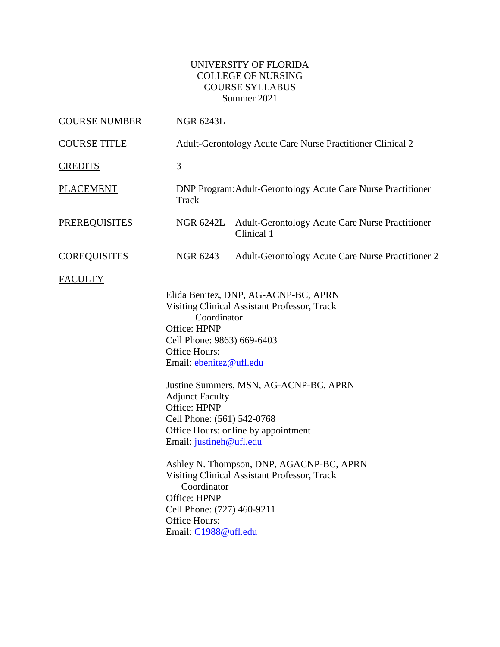# UNIVERSITY OF FLORIDA COLLEGE OF NURSING COURSE SYLLABUS Summer 2021

| <b>COURSE NUMBER</b> | <b>NGR 6243L</b>                                                                                                                                                                                                                                                                                                                                                                                                                                                                                                                                                                           |                                                                         |  |  |
|----------------------|--------------------------------------------------------------------------------------------------------------------------------------------------------------------------------------------------------------------------------------------------------------------------------------------------------------------------------------------------------------------------------------------------------------------------------------------------------------------------------------------------------------------------------------------------------------------------------------------|-------------------------------------------------------------------------|--|--|
| <b>COURSE TITLE</b>  |                                                                                                                                                                                                                                                                                                                                                                                                                                                                                                                                                                                            | Adult-Gerontology Acute Care Nurse Practitioner Clinical 2              |  |  |
| <b>CREDITS</b>       | 3                                                                                                                                                                                                                                                                                                                                                                                                                                                                                                                                                                                          |                                                                         |  |  |
| <b>PLACEMENT</b>     | Track                                                                                                                                                                                                                                                                                                                                                                                                                                                                                                                                                                                      | DNP Program: Adult-Gerontology Acute Care Nurse Practitioner            |  |  |
| <b>PREREQUISITES</b> |                                                                                                                                                                                                                                                                                                                                                                                                                                                                                                                                                                                            | NGR 6242L Adult-Gerontology Acute Care Nurse Practitioner<br>Clinical 1 |  |  |
| <b>COREQUISITES</b>  | <b>NGR 6243</b>                                                                                                                                                                                                                                                                                                                                                                                                                                                                                                                                                                            | Adult-Gerontology Acute Care Nurse Practitioner 2                       |  |  |
| <b>FACULTY</b>       |                                                                                                                                                                                                                                                                                                                                                                                                                                                                                                                                                                                            |                                                                         |  |  |
|                      | Elida Benitez, DNP, AG-ACNP-BC, APRN<br>Visiting Clinical Assistant Professor, Track<br>Coordinator<br>Office: HPNP<br>Cell Phone: 9863) 669-6403<br>Office Hours:<br>Email: ebenitez@ufl.edu<br>Justine Summers, MSN, AG-ACNP-BC, APRN<br><b>Adjunct Faculty</b><br>Office: HPNP<br>Cell Phone: (561) 542-0768<br>Office Hours: online by appointment<br>Email: justineh@ufl.edu<br>Ashley N. Thompson, DNP, AGACNP-BC, APRN<br><b>Visiting Clinical Assistant Professor, Track</b><br>Coordinator<br>Office: HPNP<br>Cell Phone: (727) 460-9211<br>Office Hours:<br>Email: C1988@ufl.edu |                                                                         |  |  |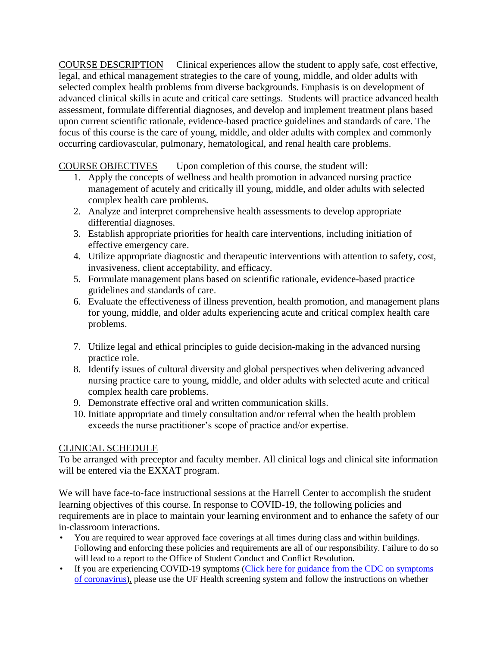COURSE DESCRIPTION Clinical experiences allow the student to apply safe, cost effective, legal, and ethical management strategies to the care of young, middle, and older adults with selected complex health problems from diverse backgrounds. Emphasis is on development of advanced clinical skills in acute and critical care settings. Students will practice advanced health assessment, formulate differential diagnoses, and develop and implement treatment plans based upon current scientific rationale, evidence-based practice guidelines and standards of care. The focus of this course is the care of young, middle, and older adults with complex and commonly occurring cardiovascular, pulmonary, hematological, and renal health care problems.

# COURSE OBJECTIVES Upon completion of this course, the student will:

- 1. Apply the concepts of wellness and health promotion in advanced nursing practice management of acutely and critically ill young, middle, and older adults with selected complex health care problems.
- 2. Analyze and interpret comprehensive health assessments to develop appropriate differential diagnoses.
- 3. Establish appropriate priorities for health care interventions, including initiation of effective emergency care.
- 4. Utilize appropriate diagnostic and therapeutic interventions with attention to safety, cost, invasiveness, client acceptability, and efficacy.
- 5. Formulate management plans based on scientific rationale, evidence-based practice guidelines and standards of care.
- 6. Evaluate the effectiveness of illness prevention, health promotion, and management plans for young, middle, and older adults experiencing acute and critical complex health care problems.
- 7. Utilize legal and ethical principles to guide decision-making in the advanced nursing practice role.
- 8. Identify issues of cultural diversity and global perspectives when delivering advanced nursing practice care to young, middle, and older adults with selected acute and critical complex health care problems.
- 9. Demonstrate effective oral and written communication skills.
- 10. Initiate appropriate and timely consultation and/or referral when the health problem exceeds the nurse practitioner's scope of practice and/or expertise.

## CLINICAL SCHEDULE

To be arranged with preceptor and faculty member. All clinical logs and clinical site information will be entered via the EXXAT program.

We will have face-to-face instructional sessions at the Harrell Center to accomplish the student learning objectives of this course. In response to COVID-19, the following policies and requirements are in place to maintain your learning environment and to enhance the safety of our in-classroom interactions.

- You are required to wear approved face coverings at all times during class and within buildings. Following and enforcing these policies and requirements are all of our responsibility. Failure to do so will lead to a report to the Office of Student Conduct and Conflict Resolution.
- If you are experiencing COVID-19 symptoms (Click here for guidance from the CDC on symptoms [of coronavirus\)](https://www.cdc.gov/coronavirus/2019-ncov/symptoms-testing/symptoms.html), please use the UF Health screening system and follow the instructions on whether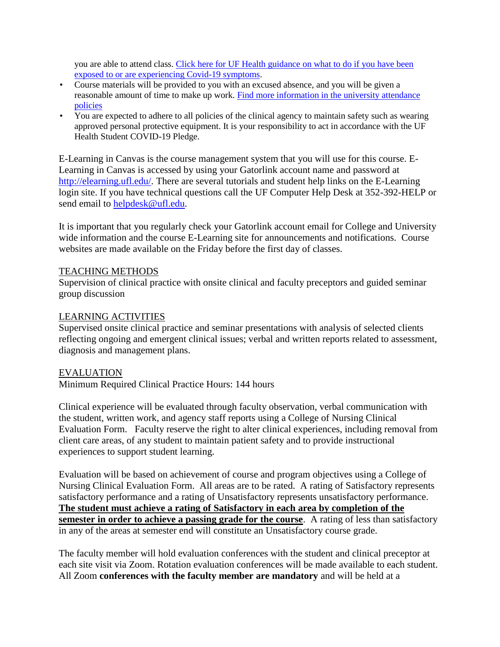you are able to attend class. [Click here for UF Health guidance on what to do if you have been](https://coronavirus.ufhealth.org/screen-test-protect/covid-19-exposure-and-symptoms-who-do-i-call-if/)  [exposed to or are experiencing Covid-19 symptoms.](https://coronavirus.ufhealth.org/screen-test-protect/covid-19-exposure-and-symptoms-who-do-i-call-if/)

- Course materials will be provided to you with an excused absence, and you will be given a reasonable amount of time to make up work. [Find more information in the university attendance](https://catalog.ufl.edu/UGRD/academic-regulations/attendance-policies/)  [policies](https://catalog.ufl.edu/UGRD/academic-regulations/attendance-policies/)
- You are expected to adhere to all policies of the clinical agency to maintain safety such as wearing approved personal protective equipment. It is your responsibility to act in accordance with the UF Health Student COVID-19 Pledge.

E-Learning in Canvas is the course management system that you will use for this course. E-Learning in Canvas is accessed by using your Gatorlink account name and password at [http://elearning.ufl.edu/.](http://elearning.ufl.edu/) There are several tutorials and student help links on the E-Learning login site. If you have technical questions call the UF Computer Help Desk at 352-392-HELP or send email to [helpdesk@ufl.edu.](mailto:helpdesk@ufl.edu)

It is important that you regularly check your Gatorlink account email for College and University wide information and the course E-Learning site for announcements and notifications. Course websites are made available on the Friday before the first day of classes.

#### TEACHING METHODS

Supervision of clinical practice with onsite clinical and faculty preceptors and guided seminar group discussion

#### LEARNING ACTIVITIES

Supervised onsite clinical practice and seminar presentations with analysis of selected clients reflecting ongoing and emergent clinical issues; verbal and written reports related to assessment, diagnosis and management plans.

#### EVALUATION

Minimum Required Clinical Practice Hours: 144 hours

Clinical experience will be evaluated through faculty observation, verbal communication with the student, written work, and agency staff reports using a College of Nursing Clinical Evaluation Form. Faculty reserve the right to alter clinical experiences, including removal from client care areas, of any student to maintain patient safety and to provide instructional experiences to support student learning.

Evaluation will be based on achievement of course and program objectives using a College of Nursing Clinical Evaluation Form. All areas are to be rated. A rating of Satisfactory represents satisfactory performance and a rating of Unsatisfactory represents unsatisfactory performance. **The student must achieve a rating of Satisfactory in each area by completion of the semester in order to achieve a passing grade for the course**. A rating of less than satisfactory in any of the areas at semester end will constitute an Unsatisfactory course grade.

The faculty member will hold evaluation conferences with the student and clinical preceptor at each site visit via Zoom. Rotation evaluation conferences will be made available to each student. All Zoom **conferences with the faculty member are mandatory** and will be held at a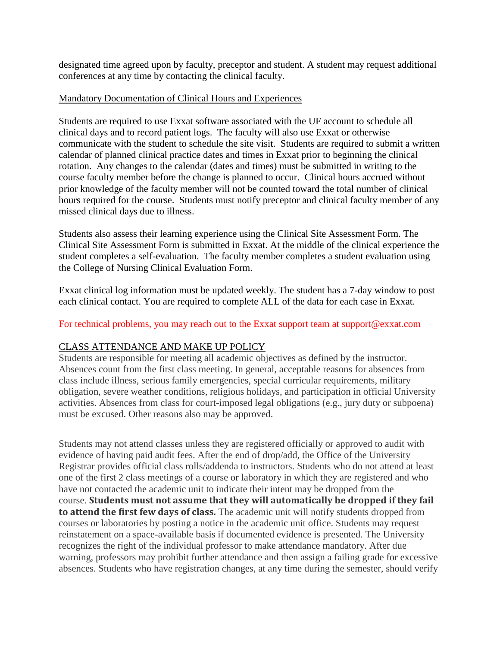designated time agreed upon by faculty, preceptor and student. A student may request additional conferences at any time by contacting the clinical faculty.

#### Mandatory Documentation of Clinical Hours and Experiences

Students are required to use Exxat software associated with the UF account to schedule all clinical days and to record patient logs. The faculty will also use Exxat or otherwise communicate with the student to schedule the site visit. Students are required to submit a written calendar of planned clinical practice dates and times in Exxat prior to beginning the clinical rotation. Any changes to the calendar (dates and times) must be submitted in writing to the course faculty member before the change is planned to occur. Clinical hours accrued without prior knowledge of the faculty member will not be counted toward the total number of clinical hours required for the course. Students must notify preceptor and clinical faculty member of any missed clinical days due to illness.

Students also assess their learning experience using the Clinical Site Assessment Form. The Clinical Site Assessment Form is submitted in Exxat. At the middle of the clinical experience the student completes a self-evaluation. The faculty member completes a student evaluation using the College of Nursing Clinical Evaluation Form.

Exxat clinical log information must be updated weekly. The student has a 7-day window to post each clinical contact. You are required to complete ALL of the data for each case in Exxat.

#### For technical problems, you may reach out to the Exxat support team at support@exxat.com

## CLASS ATTENDANCE AND MAKE UP POLICY

Students are responsible for meeting all academic objectives as defined by the instructor. Absences count from the first class meeting. In general, acceptable reasons for absences from class include illness, serious family emergencies, special curricular requirements, military obligation, severe weather conditions, religious holidays, and participation in official University activities. Absences from class for court-imposed legal obligations (e.g., jury duty or subpoena) must be excused. Other reasons also may be approved.

Students may not attend classes unless they are registered officially or approved to audit with evidence of having paid audit fees. After the end of drop/add, the Office of the University Registrar provides official class rolls/addenda to instructors. Students who do not attend at least one of the first 2 class meetings of a course or laboratory in which they are registered and who have not contacted the academic unit to indicate their intent may be dropped from the course. **Students must not assume that they will automatically be dropped if they fail to attend the first few days of class.** The academic unit will notify students dropped from courses or laboratories by posting a notice in the academic unit office. Students may request reinstatement on a space-available basis if documented evidence is presented. The University recognizes the right of the individual professor to make attendance mandatory. After due warning, professors may prohibit further attendance and then assign a failing grade for excessive absences. Students who have registration changes, at any time during the semester, should verify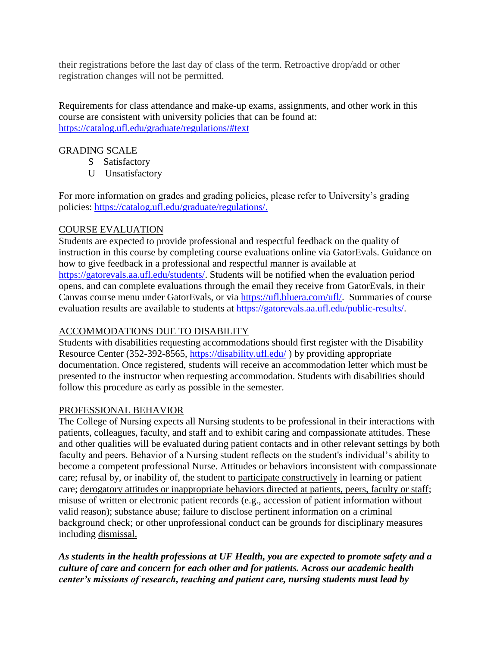their registrations before the last day of class of the term. Retroactive drop/add or other registration changes will not be permitted.

Requirements for class attendance and make-up exams, assignments, and other work in this course are consistent with university policies that can be found at: <https://catalog.ufl.edu/graduate/regulations/#text>

## GRADING SCALE

- S Satisfactory
- U Unsatisfactory

For more information on grades and grading policies, please refer to University's grading policies: [https://catalog.ufl.edu/graduate/regulations/.](https://catalog.ufl.edu/graduate/regulations/)

# COURSE EVALUATION

Students are expected to provide professional and respectful feedback on the quality of instruction in this course by completing course evaluations online via GatorEvals. Guidance on how to give feedback in a professional and respectful manner is available at [https://gatorevals.aa.ufl.edu/students/.](https://gatorevals.aa.ufl.edu/students/) Students will be notified when the evaluation period opens, and can complete evaluations through the email they receive from GatorEvals, in their Canvas course menu under GatorEvals, or via [https://ufl.bluera.com/ufl/.](https://ufl.bluera.com/ufl/) Summaries of course evaluation results are available to students at [https://gatorevals.aa.ufl.edu/public-results/.](https://gatorevals.aa.ufl.edu/public-results/)

# ACCOMMODATIONS DUE TO DISABILITY

Students with disabilities requesting accommodations should first register with the Disability Resource Center (352-392-8565,<https://disability.ufl.edu/> ) by providing appropriate documentation. Once registered, students will receive an accommodation letter which must be presented to the instructor when requesting accommodation. Students with disabilities should follow this procedure as early as possible in the semester.

## PROFESSIONAL BEHAVIOR

The College of Nursing expects all Nursing students to be professional in their interactions with patients, colleagues, faculty, and staff and to exhibit caring and compassionate attitudes. These and other qualities will be evaluated during patient contacts and in other relevant settings by both faculty and peers. Behavior of a Nursing student reflects on the student's individual's ability to become a competent professional Nurse. Attitudes or behaviors inconsistent with compassionate care; refusal by, or inability of, the student to participate constructively in learning or patient care; derogatory attitudes or inappropriate behaviors directed at patients, peers, faculty or staff; misuse of written or electronic patient records (e.g., accession of patient information without valid reason); substance abuse; failure to disclose pertinent information on a criminal background check; or other unprofessional conduct can be grounds for disciplinary measures including dismissal.

*As students in the health professions at UF Health, you are expected to promote safety and a culture of care and concern for each other and for patients. Across our academic health center's missions of research, teaching and patient care, nursing students must lead by*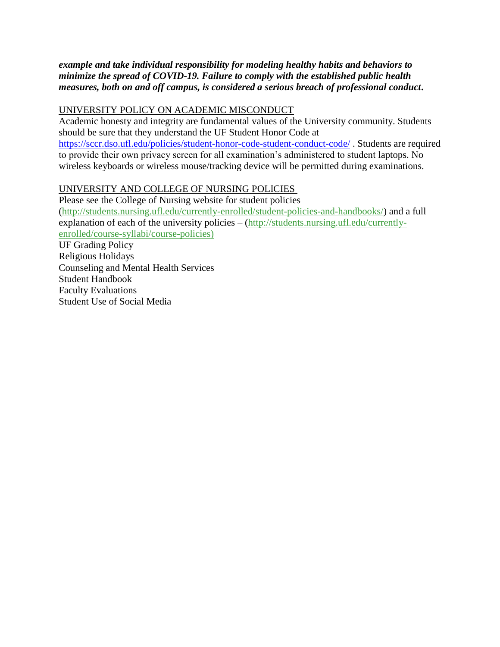*example and take individual responsibility for modeling healthy habits and behaviors to minimize the spread of COVID-19. Failure to comply with the established public health measures, both on and off campus, is considered a serious breach of professional conduct***.** 

# UNIVERSITY POLICY ON ACADEMIC MISCONDUCT

Academic honesty and integrity are fundamental values of the University community. Students should be sure that they understand the UF Student Honor Code at

<https://sccr.dso.ufl.edu/policies/student-honor-code-student-conduct-code/> . Students are required to provide their own privacy screen for all examination's administered to student laptops. No wireless keyboards or wireless mouse/tracking device will be permitted during examinations.

# UNIVERSITY AND COLLEGE OF NURSING POLICIES

Please see the College of Nursing website for student policies [\(http://students.nursing.ufl.edu/currently-enrolled/student-policies-and-handbooks/\)](http://students.nursing.ufl.edu/currently-enrolled/student-policies-and-handbooks/) and a full explanation of each of the university policies – [\(http://students.nursing.ufl.edu/currently](http://students.nursing.ufl.edu/currently-enrolled/course-syllabi/course-policies)[enrolled/course-syllabi/course-policies\)](http://students.nursing.ufl.edu/currently-enrolled/course-syllabi/course-policies) UF Grading Policy Religious Holidays Counseling and Mental Health Services Student Handbook Faculty Evaluations Student Use of Social Media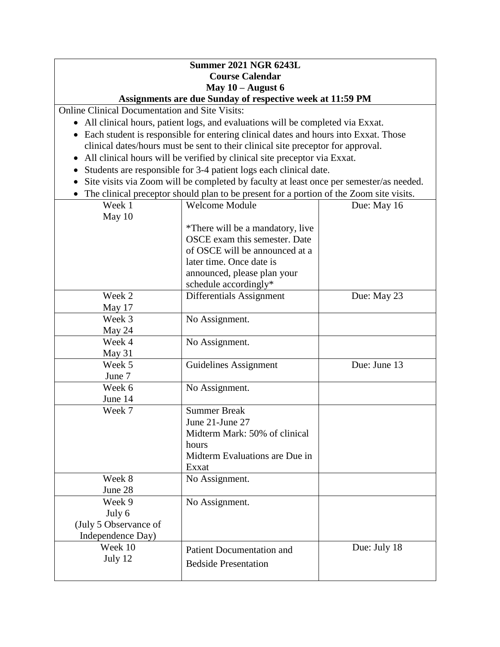#### **Summer 2021 NGR 6243L Course Calendar May 10 – August 6 Assignments are due Sunday of respective week at 11:59 PM**

Online Clinical Documentation and Site Visits:

- All clinical hours, patient logs, and evaluations will be completed via Exxat.
- Each student is responsible for entering clinical dates and hours into Exxat. Those clinical dates/hours must be sent to their clinical site preceptor for approval.
- All clinical hours will be verified by clinical site preceptor via Exxat.
- Students are responsible for 3-4 patient logs each clinical date.
- Site visits via Zoom will be completed by faculty at least once per semester/as needed.
- The clinical preceptor should plan to be present for a portion of the Zoom site visits.

| Week 1                | <b>Welcome Module</b>            | Due: May 16  |
|-----------------------|----------------------------------|--------------|
| May 10                |                                  |              |
|                       | *There will be a mandatory, live |              |
|                       | OSCE exam this semester. Date    |              |
|                       | of OSCE will be announced at a   |              |
|                       | later time. Once date is         |              |
|                       | announced, please plan your      |              |
|                       | schedule accordingly*            |              |
| Week 2                | Differentials Assignment         | Due: May 23  |
| May 17                |                                  |              |
| Week 3                | No Assignment.                   |              |
| May 24                |                                  |              |
| Week 4                | No Assignment.                   |              |
| May 31                |                                  |              |
| Week 5                | <b>Guidelines Assignment</b>     | Due: June 13 |
| June 7                |                                  |              |
| Week 6                | No Assignment.                   |              |
| June 14               |                                  |              |
| Week 7                | <b>Summer Break</b>              |              |
|                       | June 21-June 27                  |              |
|                       | Midterm Mark: 50% of clinical    |              |
|                       | hours                            |              |
|                       | Midterm Evaluations are Due in   |              |
|                       | Exxat                            |              |
| Week 8                | No Assignment.                   |              |
| June 28               |                                  |              |
| Week 9                | No Assignment.                   |              |
| July 6                |                                  |              |
| (July 5 Observance of |                                  |              |
| Independence Day)     |                                  |              |
| Week 10               | <b>Patient Documentation and</b> | Due: July 18 |
| July 12               | <b>Bedside Presentation</b>      |              |
|                       |                                  |              |